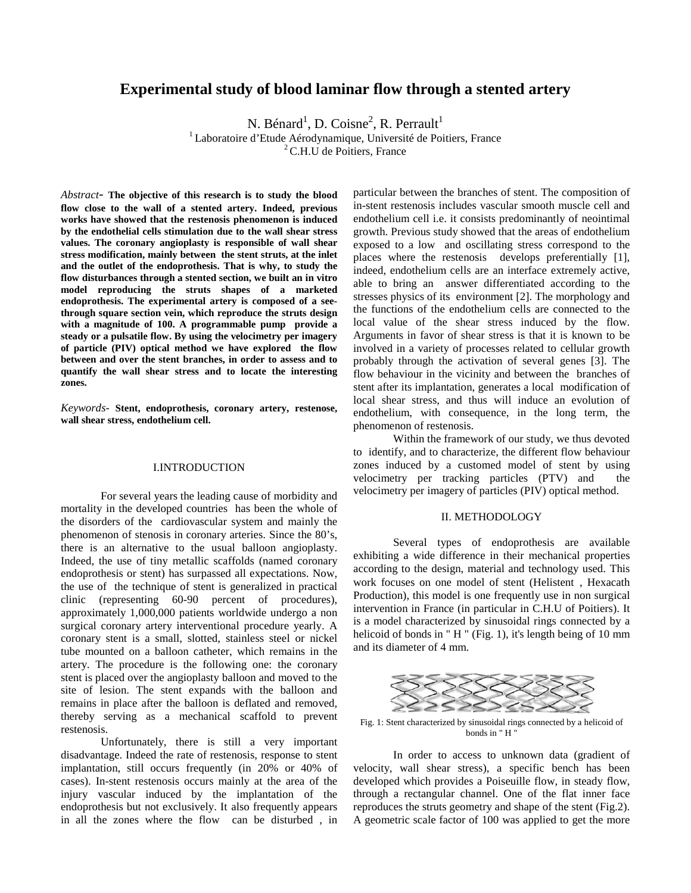# **Experimental study of blood laminar flow through a stented artery**

N. Bénard<sup>1</sup>, D. Coisne<sup>2</sup>, R. Perrault<sup>1</sup>

<sup>1</sup> Laboratoire d'Etude Aérodynamique, Université de Poitiers, France <sup>2</sup> C.H.U de Poitiers, France

*Abstract*- **The objective of this research is to study the blood flow close to the wall of a stented artery. Indeed, previous works have showed that the restenosis phenomenon is induced by the endothelial cells stimulation due to the wall shear stress values. The coronary angioplasty is responsible of wall shear stress modification, mainly between the stent struts, at the inlet and the outlet of the endoprothesis. That is why, to study the flow disturbances through a stented section, we built an in vitro model reproducing the struts shapes of a marketed endoprothesis. The experimental artery is composed of a seethrough square section vein, which reproduce the struts design with a magnitude of 100. A programmable pump provide a steady or a pulsatile flow. By using the velocimetry per imagery of particle (PIV) optical method we have explored the flow between and over the stent branches, in order to assess and to quantify the wall shear stress and to locate the interesting zones.**

*Keywords-* **Stent, endoprothesis, coronary artery, restenose, wall shear stress, endothelium cell.**

#### I.INTRODUCTION

For several years the leading cause of morbidity and mortality in the developed countries has been the whole of the disorders of the cardiovascular system and mainly the phenomenon of stenosis in coronary arteries. Since the 80's, there is an alternative to the usual balloon angioplasty. Indeed, the use of tiny metallic scaffolds (named coronary endoprothesis or stent) has surpassed all expectations. Now, the use of the technique of stent is generalized in practical clinic (representing 60-90 percent of procedures), approximately 1,000,000 patients worldwide undergo a non surgical coronary artery interventional procedure yearly. A coronary stent is a small, slotted, stainless steel or nickel tube mounted on a balloon catheter, which remains in the artery. The procedure is the following one: the coronary stent is placed over the angioplasty balloon and moved to the site of lesion. The stent expands with the balloon and remains in place after the balloon is deflated and removed, thereby serving as a mechanical scaffold to prevent restenosis.

Unfortunately, there is still a very important disadvantage. Indeed the rate of restenosis, response to stent implantation, still occurs frequently (in 20% or 40% of cases). In-stent restenosis occurs mainly at the area of the injury vascular induced by the implantation of the endoprothesis but not exclusively. It also frequently appears in all the zones where the flow can be disturbed , in

particular between the branches of stent. The composition of in-stent restenosis includes vascular smooth muscle cell and endothelium cell i.e. it consists predominantly of neointimal growth. Previous study showed that the areas of endothelium exposed to a low and oscillating stress correspond to the places where the restenosis develops preferentially [1], indeed, endothelium cells are an interface extremely active, able to bring an answer differentiated according to the stresses physics of its environment [2]. The morphology and the functions of the endothelium cells are connected to the local value of the shear stress induced by the flow. Arguments in favor of shear stress is that it is known to be involved in a variety of processes related to cellular growth probably through the activation of several genes [3]. The flow behaviour in the vicinity and between the branches of stent after its implantation, generates a local modification of local shear stress, and thus will induce an evolution of endothelium, with consequence, in the long term, the phenomenon of restenosis.

Within the framework of our study, we thus devoted to identify, and to characterize, the different flow behaviour zones induced by a customed model of stent by using velocimetry per tracking particles (PTV) and the velocimetry per imagery of particles (PIV) optical method.

#### II. METHODOLOGY

Several types of endoprothesis are available exhibiting a wide difference in their mechanical properties according to the design, material and technology used. This work focuses on one model of stent (Helistent<sup>®</sup>, Hexacath Production), this model is one frequently use in non surgical intervention in France (in particular in C.H.U of Poitiers). It is a model characterized by sinusoidal rings connected by a helicoid of bonds in "H" (Fig. 1), it's length being of 10 mm and its diameter of 4 mm.



Fig. 1: Stent characterized by sinusoidal rings connected by a helicoid of bonds in " H "

In order to access to unknown data (gradient of velocity, wall shear stress), a specific bench has been developed which provides a Poiseuille flow, in steady flow, through a rectangular channel. One of the flat inner face reproduces the struts geometry and shape of the stent (Fig.2). A geometric scale factor of 100 was applied to get the more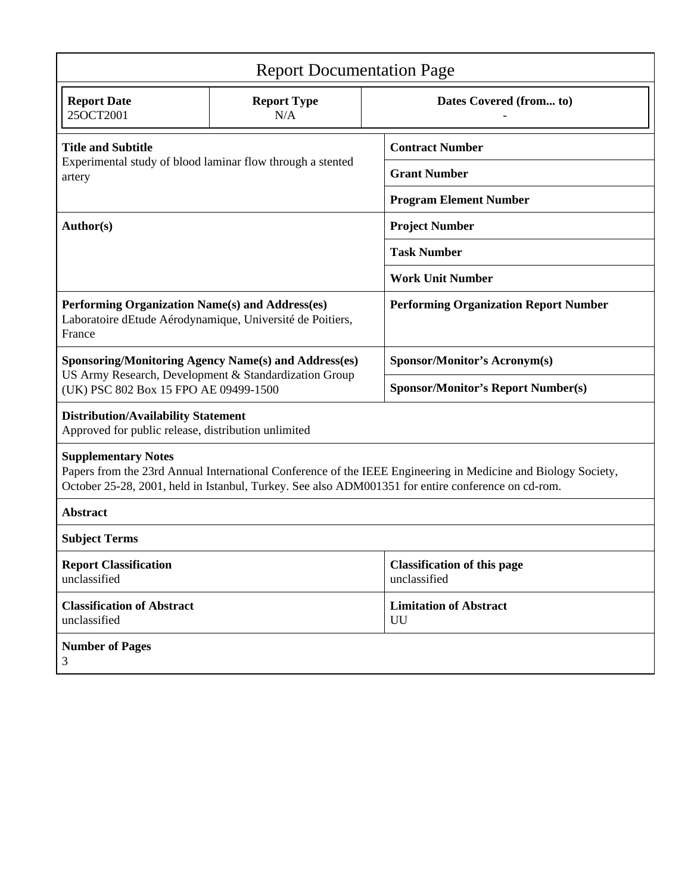| <b>Report Documentation Page</b>                                                                                                                                                                                                                  |                           |                                                    |
|---------------------------------------------------------------------------------------------------------------------------------------------------------------------------------------------------------------------------------------------------|---------------------------|----------------------------------------------------|
| <b>Report Date</b><br>25OCT2001                                                                                                                                                                                                                   | <b>Report Type</b><br>N/A | Dates Covered (from to)                            |
| <b>Title and Subtitle</b><br>Experimental study of blood laminar flow through a stented<br>artery                                                                                                                                                 |                           | <b>Contract Number</b>                             |
|                                                                                                                                                                                                                                                   |                           | <b>Grant Number</b>                                |
|                                                                                                                                                                                                                                                   |                           | <b>Program Element Number</b>                      |
| Author(s)                                                                                                                                                                                                                                         |                           | <b>Project Number</b>                              |
|                                                                                                                                                                                                                                                   |                           | <b>Task Number</b>                                 |
|                                                                                                                                                                                                                                                   |                           | <b>Work Unit Number</b>                            |
| Performing Organization Name(s) and Address(es)<br>Laboratoire dEtude Aérodynamique, Université de Poitiers,<br>France                                                                                                                            |                           | <b>Performing Organization Report Number</b>       |
| <b>Sponsoring/Monitoring Agency Name(s) and Address(es)</b><br>US Army Research, Development & Standardization Group<br>(UK) PSC 802 Box 15 FPO AE 09499-1500                                                                                     |                           | <b>Sponsor/Monitor's Acronym(s)</b>                |
|                                                                                                                                                                                                                                                   |                           | <b>Sponsor/Monitor's Report Number(s)</b>          |
| <b>Distribution/Availability Statement</b><br>Approved for public release, distribution unlimited                                                                                                                                                 |                           |                                                    |
| <b>Supplementary Notes</b><br>Papers from the 23rd Annual International Conference of the IEEE Engineering in Medicine and Biology Society,<br>October 25-28, 2001, held in Istanbul, Turkey. See also ADM001351 for entire conference on cd-rom. |                           |                                                    |
| <b>Abstract</b>                                                                                                                                                                                                                                   |                           |                                                    |
| <b>Subject Terms</b>                                                                                                                                                                                                                              |                           |                                                    |
| <b>Report Classification</b><br>unclassified                                                                                                                                                                                                      |                           | <b>Classification of this page</b><br>unclassified |
| <b>Classification of Abstract</b><br>unclassified                                                                                                                                                                                                 |                           | <b>Limitation of Abstract</b><br>UU                |
| <b>Number of Pages</b><br>3                                                                                                                                                                                                                       |                           |                                                    |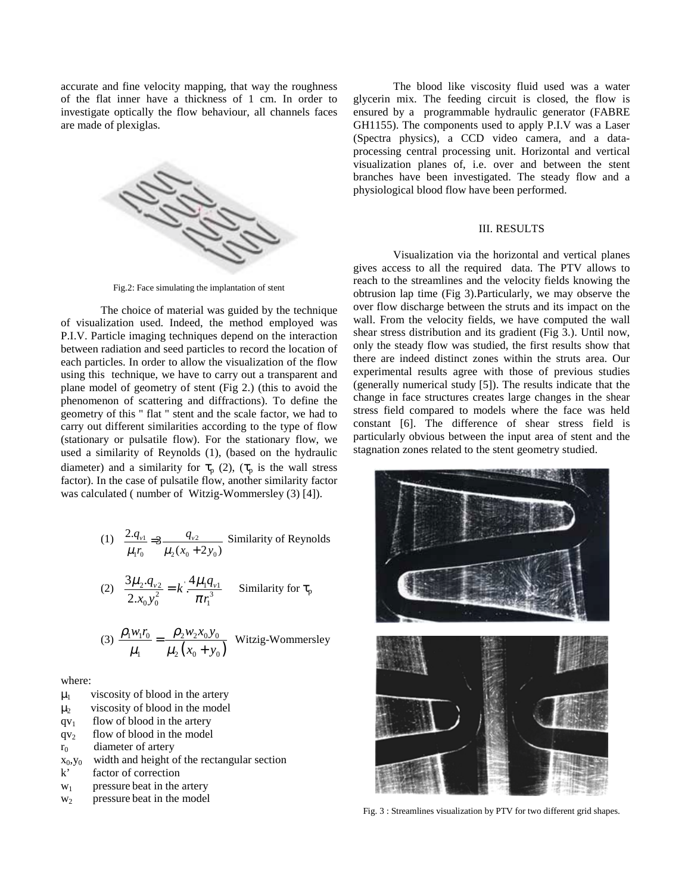accurate and fine velocity mapping, that way the roughness of the flat inner have a thickness of 1 cm. In order to investigate optically the flow behaviour, all channels faces are made of plexiglas.



Fig.2: Face simulating the implantation of stent

The choice of material was guided by the technique of visualization used. Indeed, the method employed was P.I.V. Particle imaging techniques depend on the interaction between radiation and seed particles to record the location of each particles. In order to allow the visualization of the flow using this technique, we have to carry out a transparent and plane model of geometry of stent (Fig 2.) (this to avoid the phenomenon of scattering and diffractions). To define the geometry of this " flat " stent and the scale factor, we had to carry out different similarities according to the type of flow (stationary or pulsatile flow). For the stationary flow, we used a similarity of Reynolds (1), (based on the hydraulic diameter) and a similarity for  $\tau_p$  (2), ( $\tau_p$  is the wall stress factor). In the case of pulsatile flow, another similarity factor was calculated ( number of Witzig-Wommersley (3) [4]).

(1) 
$$
\frac{2.q_{v1}}{\mu_1r_0} = 3\frac{q_{v2}}{\mu_2(x_0 + 2y_0)}
$$
 Similarity of Reynolds

(2) 
$$
\frac{3\mu_2 \cdot q_{v2}}{2 \cdot x_0 y_0^2} = k \cdot \frac{4\mu_1 q_{v1}}{\pi r_1^3}
$$
 Similarity for  $\tau_p$ 

(3) 
$$
\frac{\rho_1 w_1 r_0}{\mu_1} = \frac{\rho_2 w_2 x_0 y_0}{\mu_2 (x_0 + y_0)}
$$
 Witzig-Wommersley

where:

- $\mu_1$  viscosity of blood in the artery
- $\mu_2$  viscosity of blood in the model
- $qv_1$  flow of blood in the artery
- $qv<sub>2</sub>$  flow of blood in the model

 $r_0$  diameter of artery

- $x_0, y_0$  width and height of the rectangular section
- k' factor of correction
- $w_1$  pressure beat in the artery
- $w_2$  pressure beat in the model

The blood like viscosity fluid used was a water glycerin mix. The feeding circuit is closed, the flow is ensured by a programmable hydraulic generator (FABRE GH1155). The components used to apply P.I.V was a Laser (Spectra physics), a CCD video camera, and a dataprocessing central processing unit. Horizontal and vertical visualization planes of, i.e. over and between the stent branches have been investigated. The steady flow and a physiological blood flow have been performed.

## III. RESULTS

Visualization via the horizontal and vertical planes gives access to all the required data. The PTV allows to reach to the streamlines and the velocity fields knowing the obtrusion lap time (Fig 3).Particularly, we may observe the over flow discharge between the struts and its impact on the wall. From the velocity fields, we have computed the wall shear stress distribution and its gradient (Fig 3.). Until now, only the steady flow was studied, the first results show that there are indeed distinct zones within the struts area. Our experimental results agree with those of previous studies (generally numerical study [5]). The results indicate that the change in face structures creates large changes in the shear stress field compared to models where the face was held constant [6]. The difference of shear stress field is particularly obvious between the input area of stent and the stagnation zones related to the stent geometry studied.



Fig. 3 : Streamlines visualization by PTV for two different grid shapes.